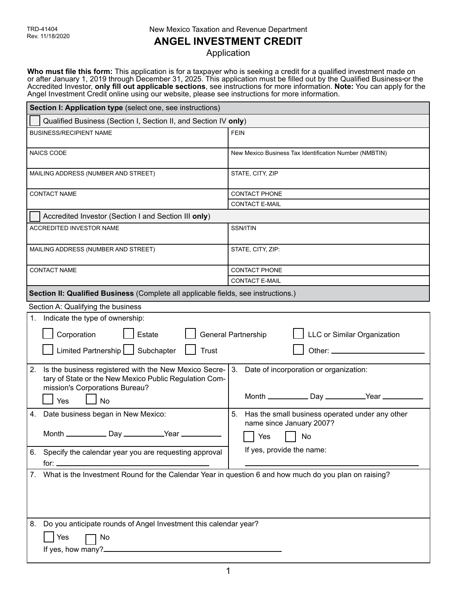## **ANGEL INVESTMENT CREDIT**

Application

**Who must file this form:** This application is for a taxpayer who is seeking a credit for a qualified investment made on or after January 1, 2019 through December 31, 2025. This application must be filled out by the Qualified Business or the Accredited Investor, **only fill out applicable sections**, see instructions for more information. **Note:** You can apply for the Angel Investment Credit online using our website, please see instructions for more information.

| Section I: Application type (select one, see instructions)                                                                                                                                 |                                                                                   |  |
|--------------------------------------------------------------------------------------------------------------------------------------------------------------------------------------------|-----------------------------------------------------------------------------------|--|
| Qualified Business (Section I, Section II, and Section IV only)                                                                                                                            |                                                                                   |  |
| <b>BUSINESS/RECIPIENT NAME</b>                                                                                                                                                             | <b>FEIN</b>                                                                       |  |
| <b>NAICS CODE</b>                                                                                                                                                                          | New Mexico Business Tax Identification Number (NMBTIN)                            |  |
| MAILING ADDRESS (NUMBER AND STREET)                                                                                                                                                        | STATE, CITY, ZIP                                                                  |  |
| <b>CONTACT NAME</b>                                                                                                                                                                        | <b>CONTACT PHONE</b>                                                              |  |
|                                                                                                                                                                                            | <b>CONTACT E-MAIL</b>                                                             |  |
| Accredited Investor (Section I and Section III only)                                                                                                                                       |                                                                                   |  |
| <b>ACCREDITED INVESTOR NAME</b>                                                                                                                                                            | SSN/ITIN                                                                          |  |
| MAILING ADDRESS (NUMBER AND STREET)                                                                                                                                                        | STATE, CITY, ZIP:                                                                 |  |
| <b>CONTACT NAME</b>                                                                                                                                                                        | <b>CONTACT PHONE</b>                                                              |  |
|                                                                                                                                                                                            | <b>CONTACT E-MAIL</b>                                                             |  |
| Section II: Qualified Business (Complete all applicable fields, see instructions.)                                                                                                         |                                                                                   |  |
|                                                                                                                                                                                            |                                                                                   |  |
| Section A: Qualifying the business                                                                                                                                                         |                                                                                   |  |
| 1. Indicate the type of ownership:<br>Estate<br>LLC or Similar Organization<br>Corporation<br>General Partnership<br>Limited Partnership   Subchapter<br><b>Trust</b>                      |                                                                                   |  |
|                                                                                                                                                                                            |                                                                                   |  |
| Is the business registered with the New Mexico Secre-<br>2.<br>tary of State or the New Mexico Public Regulation Com-<br>mission's Corporations Bureau?                                    | 3. Date of incorporation or organization:                                         |  |
| Yes<br><b>No</b>                                                                                                                                                                           |                                                                                   |  |
| Date business began in New Mexico:<br>4.                                                                                                                                                   | 5.<br>Has the small business operated under any other<br>name since January 2007? |  |
| Month ______________ Day ____________Year __                                                                                                                                               |                                                                                   |  |
| 6. Specify the calendar year you are requesting approval<br>for: $\sqrt{2\pi}$ for $\sqrt{2\pi}$ and $\sqrt{2\pi}$ and $\sqrt{2\pi}$ and $\sqrt{2\pi}$ and $\sqrt{2\pi}$ and $\sqrt{2\pi}$ | If yes, provide the name:                                                         |  |
| 7. What is the Investment Round for the Calendar Year in question 6 and how much do you plan on raising?                                                                                   |                                                                                   |  |
| Do you anticipate rounds of Angel Investment this calendar year?<br>8.<br>Yes<br>No                                                                                                        |                                                                                   |  |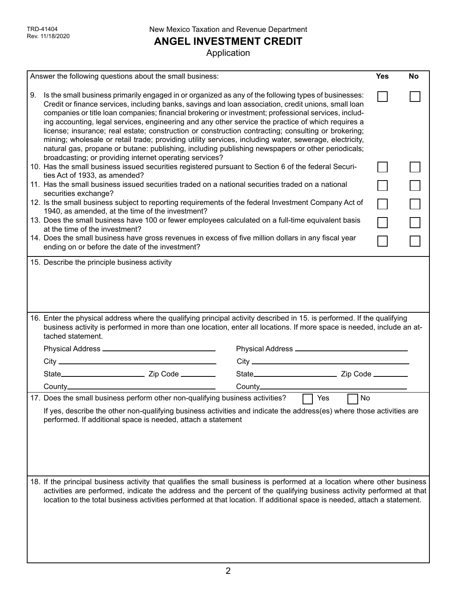**ANGEL INVESTMENT CREDIT**

|                                                                                                                          | Answer the following questions about the small business:                                                                                                                                                                                                                                                                                                                                                                                                                                                                                                                                                                                                                                                                                         |                            | <b>Yes</b> | No |
|--------------------------------------------------------------------------------------------------------------------------|--------------------------------------------------------------------------------------------------------------------------------------------------------------------------------------------------------------------------------------------------------------------------------------------------------------------------------------------------------------------------------------------------------------------------------------------------------------------------------------------------------------------------------------------------------------------------------------------------------------------------------------------------------------------------------------------------------------------------------------------------|----------------------------|------------|----|
| 9.                                                                                                                       | Is the small business primarily engaged in or organized as any of the following types of businesses:<br>Credit or finance services, including banks, savings and loan association, credit unions, small loan<br>companies or title loan companies; financial brokering or investment; professional services, includ-<br>ing accounting, legal services, engineering and any other service the practice of which requires a<br>license; insurance; real estate; construction or construction contracting; consulting or brokering;<br>mining; wholesale or retail trade; providing utility services, including water, sewerage, electricity,<br>natural gas, propane or butane: publishing, including publishing newspapers or other periodicals; |                            |            |    |
|                                                                                                                          | broadcasting; or providing internet operating services?<br>10. Has the small business issued securities registered pursuant to Section 6 of the federal Securi-                                                                                                                                                                                                                                                                                                                                                                                                                                                                                                                                                                                  |                            |            |    |
|                                                                                                                          | ties Act of 1933, as amended?<br>11. Has the small business issued securities traded on a national securities traded on a national                                                                                                                                                                                                                                                                                                                                                                                                                                                                                                                                                                                                               |                            |            |    |
|                                                                                                                          | securities exchange?                                                                                                                                                                                                                                                                                                                                                                                                                                                                                                                                                                                                                                                                                                                             |                            |            |    |
|                                                                                                                          | 12. Is the small business subject to reporting requirements of the federal Investment Company Act of<br>1940, as amended, at the time of the investment?                                                                                                                                                                                                                                                                                                                                                                                                                                                                                                                                                                                         |                            |            |    |
|                                                                                                                          | 13. Does the small business have 100 or fewer employees calculated on a full-time equivalent basis                                                                                                                                                                                                                                                                                                                                                                                                                                                                                                                                                                                                                                               |                            |            |    |
|                                                                                                                          | at the time of the investment?<br>14. Does the small business have gross revenues in excess of five million dollars in any fiscal year                                                                                                                                                                                                                                                                                                                                                                                                                                                                                                                                                                                                           |                            |            |    |
|                                                                                                                          | ending on or before the date of the investment?                                                                                                                                                                                                                                                                                                                                                                                                                                                                                                                                                                                                                                                                                                  |                            |            |    |
|                                                                                                                          | 16. Enter the physical address where the qualifying principal activity described in 15. is performed. If the qualifying<br>business activity is performed in more than one location, enter all locations. If more space is needed, include an at-<br>tached statement.                                                                                                                                                                                                                                                                                                                                                                                                                                                                           |                            |            |    |
|                                                                                                                          |                                                                                                                                                                                                                                                                                                                                                                                                                                                                                                                                                                                                                                                                                                                                                  |                            |            |    |
|                                                                                                                          | County. <b>County</b> and the country of the country of the country of the country of the country of the country of the country of the country of the country of the country of the country of the country of the country of the co                                                                                                                                                                                                                                                                                                                                                                                                                                                                                                              |                            |            |    |
|                                                                                                                          | 17. Does the small business perform other non-qualifying business activities?                                                                                                                                                                                                                                                                                                                                                                                                                                                                                                                                                                                                                                                                    | $\Box$ Yes<br>$\lfloor$ No |            |    |
|                                                                                                                          | If yes, describe the other non-qualifying business activities and indicate the address(es) where those activities are<br>performed. If additional space is needed, attach a statement                                                                                                                                                                                                                                                                                                                                                                                                                                                                                                                                                            |                            |            |    |
| 18. If the principal business activity that qualifies the small business is performed at a location where other business |                                                                                                                                                                                                                                                                                                                                                                                                                                                                                                                                                                                                                                                                                                                                                  |                            |            |    |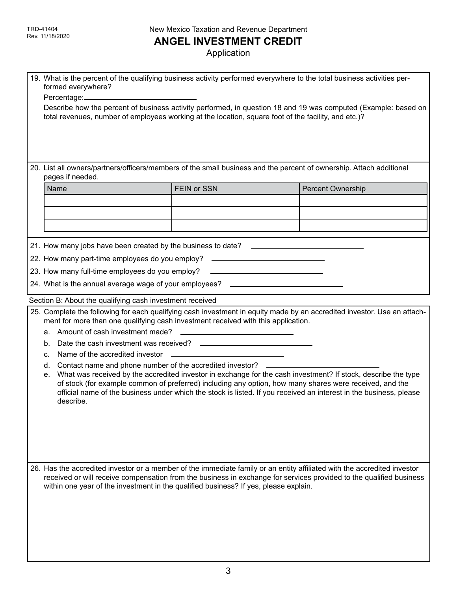# **ANGEL INVESTMENT CREDIT**

| 19. What is the percent of the qualifying business activity performed everywhere to the total business activities per-<br>formed everywhere?<br>Describe how the percent of business activity performed, in question 18 and 19 was computed (Example: based on<br>total revenues, number of employees working at the location, square foot of the facility, and etc.)?                                                                                                                                                                                                                                                                                                                                                     |                                                                            |                                                                                                                                                                                                                                                 |
|----------------------------------------------------------------------------------------------------------------------------------------------------------------------------------------------------------------------------------------------------------------------------------------------------------------------------------------------------------------------------------------------------------------------------------------------------------------------------------------------------------------------------------------------------------------------------------------------------------------------------------------------------------------------------------------------------------------------------|----------------------------------------------------------------------------|-------------------------------------------------------------------------------------------------------------------------------------------------------------------------------------------------------------------------------------------------|
| pages if needed.                                                                                                                                                                                                                                                                                                                                                                                                                                                                                                                                                                                                                                                                                                           |                                                                            | 20. List all owners/partners/officers/members of the small business and the percent of ownership. Attach additional                                                                                                                             |
| Name                                                                                                                                                                                                                                                                                                                                                                                                                                                                                                                                                                                                                                                                                                                       | FEIN or SSN                                                                | Percent Ownership                                                                                                                                                                                                                               |
|                                                                                                                                                                                                                                                                                                                                                                                                                                                                                                                                                                                                                                                                                                                            |                                                                            |                                                                                                                                                                                                                                                 |
|                                                                                                                                                                                                                                                                                                                                                                                                                                                                                                                                                                                                                                                                                                                            |                                                                            |                                                                                                                                                                                                                                                 |
|                                                                                                                                                                                                                                                                                                                                                                                                                                                                                                                                                                                                                                                                                                                            |                                                                            |                                                                                                                                                                                                                                                 |
| 21. How many jobs have been created by the business to date? ____________________                                                                                                                                                                                                                                                                                                                                                                                                                                                                                                                                                                                                                                          |                                                                            |                                                                                                                                                                                                                                                 |
| 22. How many part-time employees do you employ?                                                                                                                                                                                                                                                                                                                                                                                                                                                                                                                                                                                                                                                                            | the control of the control of the control of the control of the control of |                                                                                                                                                                                                                                                 |
| 23. How many full-time employees do you employ? ________________________________                                                                                                                                                                                                                                                                                                                                                                                                                                                                                                                                                                                                                                           |                                                                            |                                                                                                                                                                                                                                                 |
|                                                                                                                                                                                                                                                                                                                                                                                                                                                                                                                                                                                                                                                                                                                            |                                                                            |                                                                                                                                                                                                                                                 |
| 24. What is the annual average wage of your employees? _________________________                                                                                                                                                                                                                                                                                                                                                                                                                                                                                                                                                                                                                                           |                                                                            |                                                                                                                                                                                                                                                 |
| Section B: About the qualifying cash investment received                                                                                                                                                                                                                                                                                                                                                                                                                                                                                                                                                                                                                                                                   |                                                                            |                                                                                                                                                                                                                                                 |
| 25. Complete the following for each qualifying cash investment in equity made by an accredited investor. Use an attach-<br>ment for more than one qualifying cash investment received with this application.<br>b.<br>Name of the accredited investor<br>c.<br>Contact name and phone number of the accredited investor? ______________________<br>d.<br>What was received by the accredited investor in exchange for the cash investment? If stock, describe the type<br>е.<br>of stock (for example common of preferred) including any option, how many shares were received, and the<br>official name of the business under which the stock is listed. If you received an interest in the business, please<br>describe. |                                                                            |                                                                                                                                                                                                                                                 |
| within one year of the investment in the qualified business? If yes, please explain.                                                                                                                                                                                                                                                                                                                                                                                                                                                                                                                                                                                                                                       |                                                                            | 26. Has the accredited investor or a member of the immediate family or an entity affiliated with the accredited investor<br>received or will receive compensation from the business in exchange for services provided to the qualified business |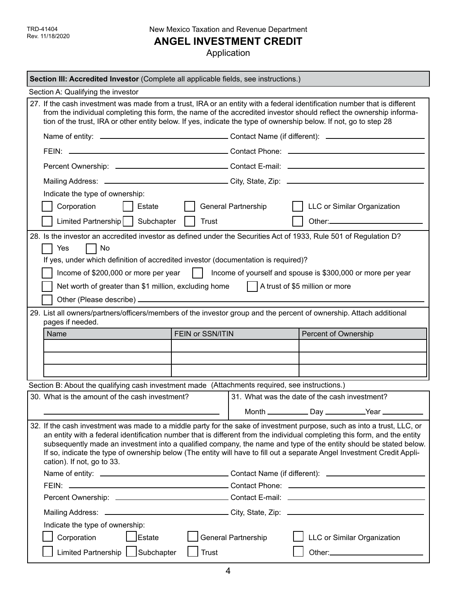**ANGEL INVESTMENT CREDIT**

| Section III: Accredited Investor (Complete all applicable fields, see instructions.)                                                                                                                                                                                                                                                                                                                                                                                                                                               |                                                                                                                     |  |  |
|------------------------------------------------------------------------------------------------------------------------------------------------------------------------------------------------------------------------------------------------------------------------------------------------------------------------------------------------------------------------------------------------------------------------------------------------------------------------------------------------------------------------------------|---------------------------------------------------------------------------------------------------------------------|--|--|
| Section A: Qualifying the investor                                                                                                                                                                                                                                                                                                                                                                                                                                                                                                 |                                                                                                                     |  |  |
| 27. If the cash investment was made from a trust, IRA or an entity with a federal identification number that is different<br>tion of the trust, IRA or other entity below. If yes, indicate the type of ownership below. If not, go to step 28                                                                                                                                                                                                                                                                                     | from the individual completing this form, the name of the accredited investor should reflect the ownership informa- |  |  |
|                                                                                                                                                                                                                                                                                                                                                                                                                                                                                                                                    |                                                                                                                     |  |  |
|                                                                                                                                                                                                                                                                                                                                                                                                                                                                                                                                    |                                                                                                                     |  |  |
|                                                                                                                                                                                                                                                                                                                                                                                                                                                                                                                                    |                                                                                                                     |  |  |
|                                                                                                                                                                                                                                                                                                                                                                                                                                                                                                                                    |                                                                                                                     |  |  |
| Indicate the type of ownership:                                                                                                                                                                                                                                                                                                                                                                                                                                                                                                    |                                                                                                                     |  |  |
| Corporation<br>Estate                                                                                                                                                                                                                                                                                                                                                                                                                                                                                                              | <b>General Partnership</b><br>LLC or Similar Organization                                                           |  |  |
| Limited Partnership   Subchapter<br><b>Trust</b>                                                                                                                                                                                                                                                                                                                                                                                                                                                                                   |                                                                                                                     |  |  |
| 28. Is the investor an accredited investor as defined under the Securities Act of 1933, Rule 501 of Regulation D?<br>Yes<br>  No<br>If yes, under which definition of accredited investor (documentation is required)?                                                                                                                                                                                                                                                                                                             |                                                                                                                     |  |  |
| Income of \$200,000 or more per year                                                                                                                                                                                                                                                                                                                                                                                                                                                                                               | Income of yourself and spouse is \$300,000 or more per year                                                         |  |  |
| Net worth of greater than \$1 million, excluding home                                                                                                                                                                                                                                                                                                                                                                                                                                                                              | A trust of \$5 million or more                                                                                      |  |  |
|                                                                                                                                                                                                                                                                                                                                                                                                                                                                                                                                    |                                                                                                                     |  |  |
| 29. List all owners/partners/officers/members of the investor group and the percent of ownership. Attach additional                                                                                                                                                                                                                                                                                                                                                                                                                |                                                                                                                     |  |  |
| pages if needed.                                                                                                                                                                                                                                                                                                                                                                                                                                                                                                                   |                                                                                                                     |  |  |
| FEIN or SSN/ITIN<br>Name                                                                                                                                                                                                                                                                                                                                                                                                                                                                                                           | Percent of Ownership                                                                                                |  |  |
|                                                                                                                                                                                                                                                                                                                                                                                                                                                                                                                                    |                                                                                                                     |  |  |
|                                                                                                                                                                                                                                                                                                                                                                                                                                                                                                                                    |                                                                                                                     |  |  |
|                                                                                                                                                                                                                                                                                                                                                                                                                                                                                                                                    |                                                                                                                     |  |  |
| Section B: About the qualifying cash investment made (Attachments required, see instructions.)                                                                                                                                                                                                                                                                                                                                                                                                                                     |                                                                                                                     |  |  |
| 30. What is the amount of the cash investment?                                                                                                                                                                                                                                                                                                                                                                                                                                                                                     | 31. What was the date of the cash investment?                                                                       |  |  |
|                                                                                                                                                                                                                                                                                                                                                                                                                                                                                                                                    | Month ______________Day _____________Year _____________                                                             |  |  |
| 32. If the cash investment was made to a middle party for the sake of investment purpose, such as into a trust, LLC, or<br>an entity with a federal identification number that is different from the individual completing this form, and the entity<br>subsequently made an investment into a qualified company, the name and type of the entity should be stated below.<br>If so, indicate the type of ownership below (The entity will have to fill out a separate Angel Investment Credit Appli-<br>cation). If not, go to 33. |                                                                                                                     |  |  |
|                                                                                                                                                                                                                                                                                                                                                                                                                                                                                                                                    |                                                                                                                     |  |  |
|                                                                                                                                                                                                                                                                                                                                                                                                                                                                                                                                    |                                                                                                                     |  |  |
|                                                                                                                                                                                                                                                                                                                                                                                                                                                                                                                                    |                                                                                                                     |  |  |
|                                                                                                                                                                                                                                                                                                                                                                                                                                                                                                                                    |                                                                                                                     |  |  |
| Indicate the type of ownership:<br>Corporation<br>Estate                                                                                                                                                                                                                                                                                                                                                                                                                                                                           | <b>LLC or Similar Organization</b><br><b>General Partnership</b>                                                    |  |  |
| Limited Partnership   Subchapter<br><b>Trust</b>                                                                                                                                                                                                                                                                                                                                                                                                                                                                                   |                                                                                                                     |  |  |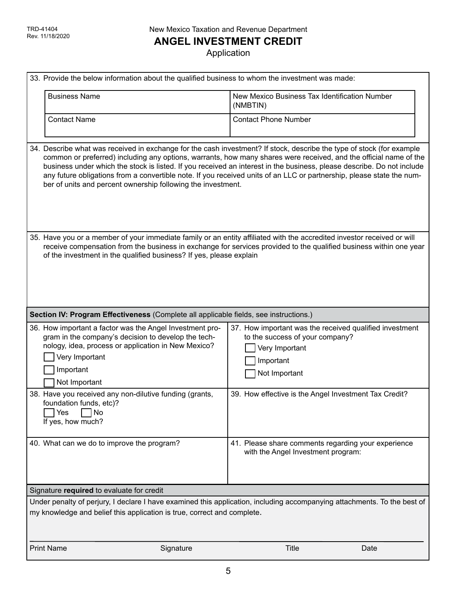**ANGEL INVESTMENT CREDIT**

| 33. Provide the below information about the qualified business to whom the investment was made:                                                                                                                        |                                                                                                                                                                                                                                                                                                                                                                                                                                                                                               |
|------------------------------------------------------------------------------------------------------------------------------------------------------------------------------------------------------------------------|-----------------------------------------------------------------------------------------------------------------------------------------------------------------------------------------------------------------------------------------------------------------------------------------------------------------------------------------------------------------------------------------------------------------------------------------------------------------------------------------------|
| <b>Business Name</b>                                                                                                                                                                                                   | New Mexico Business Tax Identification Number<br>(NMBTIN)                                                                                                                                                                                                                                                                                                                                                                                                                                     |
| <b>Contact Name</b>                                                                                                                                                                                                    | <b>Contact Phone Number</b>                                                                                                                                                                                                                                                                                                                                                                                                                                                                   |
| ber of units and percent ownership following the investment.                                                                                                                                                           | 34. Describe what was received in exchange for the cash investment? If stock, describe the type of stock (for example<br>common or preferred) including any options, warrants, how many shares were received, and the official name of the<br>business under which the stock is listed. If you received an interest in the business, please describe. Do not include<br>any future obligations from a convertible note. If you received units of an LLC or partnership, please state the num- |
| of the investment in the qualified business? If yes, please explain                                                                                                                                                    | 35. Have you or a member of your immediate family or an entity affiliated with the accredited investor received or will<br>receive compensation from the business in exchange for services provided to the qualified business within one year                                                                                                                                                                                                                                                 |
| Section IV: Program Effectiveness (Complete all applicable fields, see instructions.)                                                                                                                                  |                                                                                                                                                                                                                                                                                                                                                                                                                                                                                               |
| 36. How important a factor was the Angel Investment pro-<br>gram in the company's decision to develop the tech-<br>nology, idea, process or application in New Mexico?<br>Very Important<br>Important<br>Not Important | 37. How important was the received qualified investment<br>to the success of your company?<br>Very Important<br>Important<br>Not Important                                                                                                                                                                                                                                                                                                                                                    |
| 38. Have you received any non-dilutive funding (grants,<br>foundation funds, etc)?<br>Yes<br><b>No</b><br>If yes, how much?                                                                                            | 39. How effective is the Angel Investment Tax Credit?                                                                                                                                                                                                                                                                                                                                                                                                                                         |
| 40. What can we do to improve the program?                                                                                                                                                                             | 41. Please share comments regarding your experience<br>with the Angel Investment program:                                                                                                                                                                                                                                                                                                                                                                                                     |
| Signature required to evaluate for credit                                                                                                                                                                              |                                                                                                                                                                                                                                                                                                                                                                                                                                                                                               |
| my knowledge and belief this application is true, correct and complete.                                                                                                                                                | Under penalty of perjury, I declare I have examined this application, including accompanying attachments. To the best of                                                                                                                                                                                                                                                                                                                                                                      |
| <b>Print Name</b><br>Signature                                                                                                                                                                                         | <b>Title</b><br>Date                                                                                                                                                                                                                                                                                                                                                                                                                                                                          |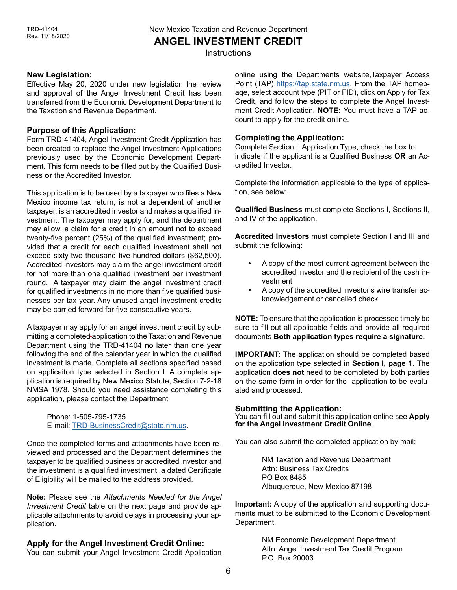New Mexico Taxation and Revenue Department **ANGEL INVESTMENT CREDIT**

**Instructions** 

#### **New Legislation:**

Effective May 20, 2020 under new legislation the review and approval of the Angel Investment Credit has been transferred from the Economic Development Department to the Taxation and Revenue Department.

### **Purpose of this Application:**

Form TRD-41404, Angel Investment Credit Application has been created to replace the Angel Investment Applications previously used by the Economic Development Department. This form needs to be filled out by the Qualified Business **or** the Accredited Investor.

This application is to be used by a taxpayer who files a New Mexico income tax return, is not a dependent of another taxpayer, is an accredited investor and makes a qualified investment. The taxpayer may apply for, and the department may allow, a claim for a credit in an amount not to exceed twenty-five percent (25%) of the qualified investment; provided that a credit for each qualified investment shall not exceed sixty-two thousand five hundred dollars (\$62,500). Accredited investors may claim the angel investment credit for not more than one qualified investment per investment round. A taxpayer may claim the angel investment credit for qualified investments in no more than five qualified businesses per tax year. Any unused angel investment credits may be carried forward for five consecutive years.

A taxpayer may apply for an angel investment credit by submitting a completed application to the Taxation and Revenue Department using the TRD-41404 no later than one year following the end of the calendar year in which the qualified investment is made. Complete all sections specified based on applicaiton type selected in Section I. A complete application is required by New Mexico Statute, Section 7-2-18 NMSA 1978. Should you need assistance completing this application, please contact the Department

> Phone: 1-505-795-1735 E-mail: [TRD-BusinessCredit@state.nm.us.](mailto:TRD-BusinessCredit%40state.nm.us?subject=)

Once the completed forms and attachments have been reviewed and processed and the Department determines the taxpayer to be qualified business or accredited investor and the investment is a qualified investment, a dated Certificate of Eligibility will be mailed to the address provided.

**Note:** Please see the *Attachments Needed for the Angel Investment Credit* table on the next page and provide applicable attachments to avoid delays in processing your application.

### **Apply for the Angel Investment Credit Online:**

You can submit your Angel Investment Credit Application

online using the Departments website,Taxpayer Access Point (TAP) https://tap.state.nm.us. From the TAP homepage, select account type (PIT or FID), click on Apply for Tax Credit, and follow the steps to complete the Angel Investment Credit Application. **NOTE:** You must have a TAP account to apply for the credit online.

## **Completing the Application:**

Complete Section I: Application Type, check the box to indicate if the applicant is a Qualified Business **OR** an Accredited Investor.

Complete the information applicable to the type of application, see below:.

**Qualified Business** must complete Sections I, Sections II, and IV of the application.

**Accredited Investors** must complete Section I and III and submit the following:

- A copy of the most current agreement between the accredited investor and the recipient of the cash investment
- A copy of the accredited investor's wire transfer acknowledgement or cancelled check.

**NOTE:** To ensure that the application is processed timely be sure to fill out all applicable fields and provide all required documents **Both application types require a signature.**

**IMPORTANT:** The application should be completed based on the application type selected in **Section I, page 1**. The application **does not** need to be completed by both parties on the same form in order for the application to be evaluated and processed.

#### **Submitting the Application:**

You can fill out and submit this application online see **Apply for the Angel Investment Credit Online**.

You can also submit the completed application by mail:

NM Taxation and Revenue Department Attn: Business Tax Credits PO Box 8485 Albuquerque, New Mexico 87198

**Important:** A copy of the application and supporting documents must to be submitted to the Economic Development Department.

> NM Economic Development Department Attn: Angel Investment Tax Credit Program P.O. Box 20003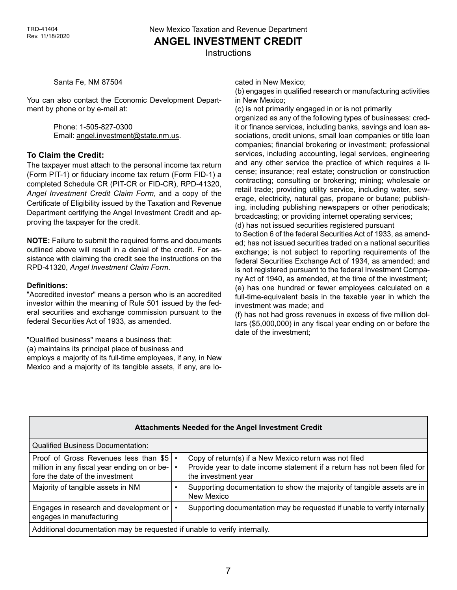**ANGEL INVESTMENT CREDIT**

**Instructions** 

Santa Fe, NM 87504

You can also contact the Economic Development Department by phone or by e-mail at:

> Phone: 1-505-827-0300 Email: [angel.investment@state.nm.us](mailto:angel.investment%40state.nm.us?subject=).

### **To Claim the Credit:**

The taxpayer must attach to the personal income tax return (Form PIT-1) or fiduciary income tax return (Form FID-1) a completed Schedule CR (PIT-CR or FID-CR), RPD-41320, *Angel Investment Credit Claim Form*, and a copy of the Certificate of Eligibility issued by the Taxation and Revenue Department certifying the Angel Investment Credit and approving the taxpayer for the credit.

**NOTE:** Failure to submit the required forms and documents outlined above will result in a denial of the credit. For assistance with claiming the credit see the instructions on the RPD-41320, *Angel Investment Claim Form*.

#### **Definitions:**

"Accredited investor" means a person who is an accredited investor within the meaning of Rule 501 issued by the federal securities and exchange commission pursuant to the federal Securities Act of 1933, as amended.

"Qualified business" means a business that:

(a) maintains its principal place of business and employs a majority of its full-time employees, if any, in New Mexico and a majority of its tangible assets, if any, are located in New Mexico;

(b) engages in qualified research or manufacturing activities in New Mexico;

(c) is not primarily engaged in or is not primarily

organized as any of the following types of businesses: credit or finance services, including banks, savings and loan associations, credit unions, small loan companies or title loan companies; financial brokering or investment; professional services, including accounting, legal services, engineering and any other service the practice of which requires a license; insurance; real estate; construction or construction contracting; consulting or brokering; mining; wholesale or retail trade; providing utility service, including water, sewerage, electricity, natural gas, propane or butane; publishing, including publishing newspapers or other periodicals; broadcasting; or providing internet operating services;

(d) has not issued securities registered pursuant

to Section 6 of the federal Securities Act of 1933, as amended; has not issued securities traded on a national securities exchange; is not subject to reporting requirements of the federal Securities Exchange Act of 1934, as amended; and is not registered pursuant to the federal Investment Company Act of 1940, as amended, at the time of the investment;

(e) has one hundred or fewer employees calculated on a full-time-equivalent basis in the taxable year in which the investment was made; and

(f) has not had gross revenues in excess of five million dollars (\$5,000,000) in any fiscal year ending on or before the date of the investment;

| <b>Attachments Needed for the Angel Investment Credit</b>                                                               |                                                                                                                                                           |  |
|-------------------------------------------------------------------------------------------------------------------------|-----------------------------------------------------------------------------------------------------------------------------------------------------------|--|
| <b>Qualified Business Documentation:</b>                                                                                |                                                                                                                                                           |  |
| Proof of Gross Revenues less than \$5<br>million in any fiscal year ending on or be-<br>fore the date of the investment | Copy of return(s) if a New Mexico return was not filed<br>Provide year to date income statement if a return has not been filed for<br>the investment year |  |
| Majority of tangible assets in NM                                                                                       | Supporting documentation to show the majority of tangible assets are in<br>New Mexico                                                                     |  |
| Engages in research and development or<br>engages in manufacturing                                                      | Supporting documentation may be requested if unable to verify internally                                                                                  |  |
| Additional documentation may be requested if unable to verify internally.                                               |                                                                                                                                                           |  |